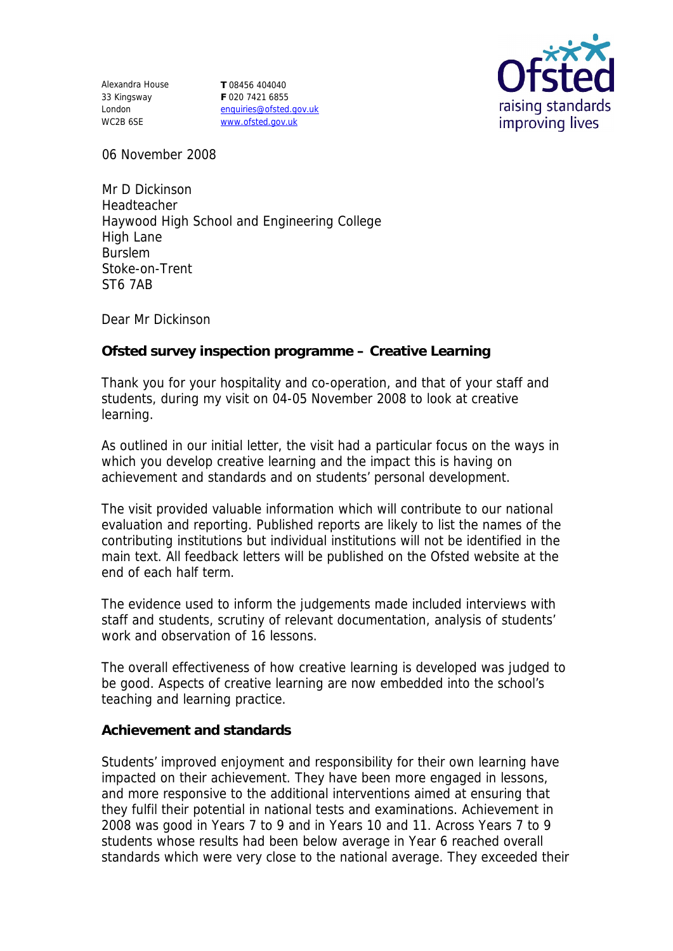Alexandra House **T** 08456 404040 33 Kingsway London WC2B 6SE

**F** 020 7421 6855 enquiries@ofsted.gov.uk www.ofsted.gov.uk



06 November 2008

Mr D Dickinson Headteacher Haywood High School and Engineering College High Lane Burslem Stoke-on-Trent ST6 7AB

Dear Mr Dickinson

**Ofsted survey inspection programme – Creative Learning**

Thank you for your hospitality and co-operation, and that of your staff and students, during my visit on 04-05 November 2008 to look at creative learning.

As outlined in our initial letter, the visit had a particular focus on the ways in which you develop creative learning and the impact this is having on achievement and standards and on students' personal development.

The visit provided valuable information which will contribute to our national evaluation and reporting. Published reports are likely to list the names of the contributing institutions but individual institutions will not be identified in the main text. All feedback letters will be published on the Ofsted website at the end of each half term.

The evidence used to inform the judgements made included interviews with staff and students, scrutiny of relevant documentation, analysis of students' work and observation of 16 lessons.

The overall effectiveness of how creative learning is developed was judged to be good. Aspects of creative learning are now embedded into the school's teaching and learning practice.

**Achievement and standards**

Students' improved enjoyment and responsibility for their own learning have impacted on their achievement. They have been more engaged in lessons, and more responsive to the additional interventions aimed at ensuring that they fulfil their potential in national tests and examinations. Achievement in 2008 was good in Years 7 to 9 and in Years 10 and 11. Across Years 7 to 9 students whose results had been below average in Year 6 reached overall standards which were very close to the national average. They exceeded their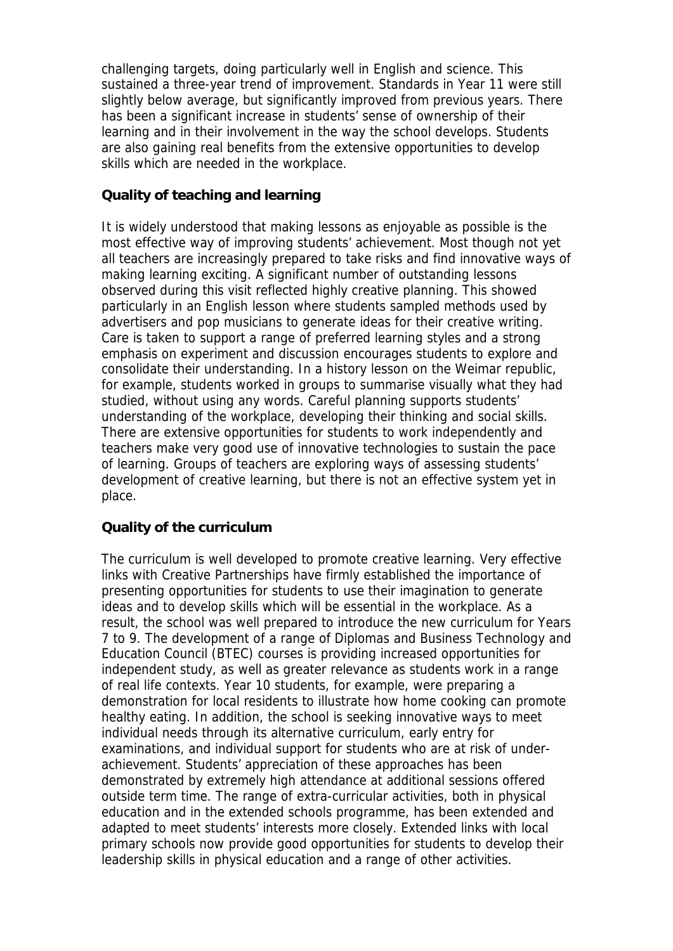challenging targets, doing particularly well in English and science. This sustained a three-year trend of improvement. Standards in Year 11 were still slightly below average, but significantly improved from previous years. There has been a significant increase in students' sense of ownership of their learning and in their involvement in the way the school develops. Students are also gaining real benefits from the extensive opportunities to develop skills which are needed in the workplace.

## **Quality of teaching and learning**

It is widely understood that making lessons as enjoyable as possible is the most effective way of improving students' achievement. Most though not yet all teachers are increasingly prepared to take risks and find innovative ways of making learning exciting. A significant number of outstanding lessons observed during this visit reflected highly creative planning. This showed particularly in an English lesson where students sampled methods used by advertisers and pop musicians to generate ideas for their creative writing. Care is taken to support a range of preferred learning styles and a strong emphasis on experiment and discussion encourages students to explore and consolidate their understanding. In a history lesson on the Weimar republic, for example, students worked in groups to summarise visually what they had studied, without using any words. Careful planning supports students' understanding of the workplace, developing their thinking and social skills. There are extensive opportunities for students to work independently and teachers make very good use of innovative technologies to sustain the pace of learning. Groups of teachers are exploring ways of assessing students' development of creative learning, but there is not an effective system yet in place.

## **Quality of the curriculum**

The curriculum is well developed to promote creative learning. Very effective links with Creative Partnerships have firmly established the importance of presenting opportunities for students to use their imagination to generate ideas and to develop skills which will be essential in the workplace. As a result, the school was well prepared to introduce the new curriculum for Years 7 to 9. The development of a range of Diplomas and Business Technology and Education Council (BTEC) courses is providing increased opportunities for independent study, as well as greater relevance as students work in a range of real life contexts. Year 10 students, for example, were preparing a demonstration for local residents to illustrate how home cooking can promote healthy eating. In addition, the school is seeking innovative ways to meet individual needs through its alternative curriculum, early entry for examinations, and individual support for students who are at risk of underachievement. Students' appreciation of these approaches has been demonstrated by extremely high attendance at additional sessions offered outside term time. The range of extra-curricular activities, both in physical education and in the extended schools programme, has been extended and adapted to meet students' interests more closely. Extended links with local primary schools now provide good opportunities for students to develop their leadership skills in physical education and a range of other activities.